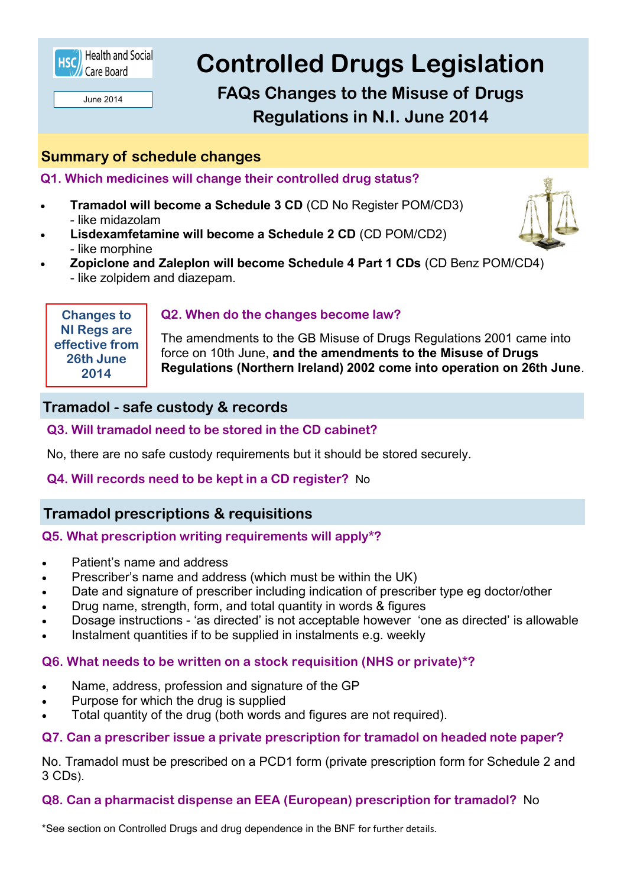

June 2014

# **Controlled Drugs Legislation**

**FAQs Changes to the Misuse of Drugs Regulations in N.I. June 2014**

# **Summary of schedule changes**

**Q1. Which medicines will change their controlled drug status?** 

- **Tramadol will become a Schedule 3 CD** (CD No Register POM/CD3) - like midazolam
- **Lisdexamfetamine will become a Schedule 2 CD** (CD POM/CD2) - like morphine
- **Zopiclone and Zaleplon will become Schedule 4 Part 1 CDs** (CD Benz POM/CD4) - like zolpidem and diazepam.

**Changes to NI Regs are effective from 26th June 2014** 

## **Q2. When do the changes become law?**

The amendments to the GB Misuse of Drugs Regulations 2001 came into force on 10th June, **and the amendments to the Misuse of Drugs Regulations (Northern Ireland) 2002 come into operation on 26th June**.

## **Tramadol - safe custody & records**

## **Q3. Will tramadol need to be stored in the CD cabinet?**

No, there are no safe custody requirements but it should be stored securely.

## **Q4. Will records need to be kept in a CD register?** No

## **Tramadol prescriptions & requisitions**

## **Q5. What prescription writing requirements will apply\*?**

- Patient's name and address
- Prescriber's name and address (which must be within the UK)
- Date and signature of prescriber including indication of prescriber type eg doctor/other
- Drug name, strength, form, and total quantity in words & figures
- Dosage instructions 'as directed' is not acceptable however 'one as directed' is allowable
- Instalment quantities if to be supplied in instalments e.g. weekly

## **Q6. What needs to be written on a stock requisition (NHS or private)\*?**

- Name, address, profession and signature of the GP
- Purpose for which the drug is supplied
- Total quantity of the drug (both words and figures are not required).

#### **Q7. Can a prescriber issue a private prescription for tramadol on headed note paper?**

No. Tramadol must be prescribed on a PCD1 form (private prescription form for Schedule 2 and 3 CDs).

#### **Q8. Can a pharmacist dispense an EEA (European) prescription for tramadol?** No

\*See section on Controlled Drugs and drug dependence in the BNF for further details.

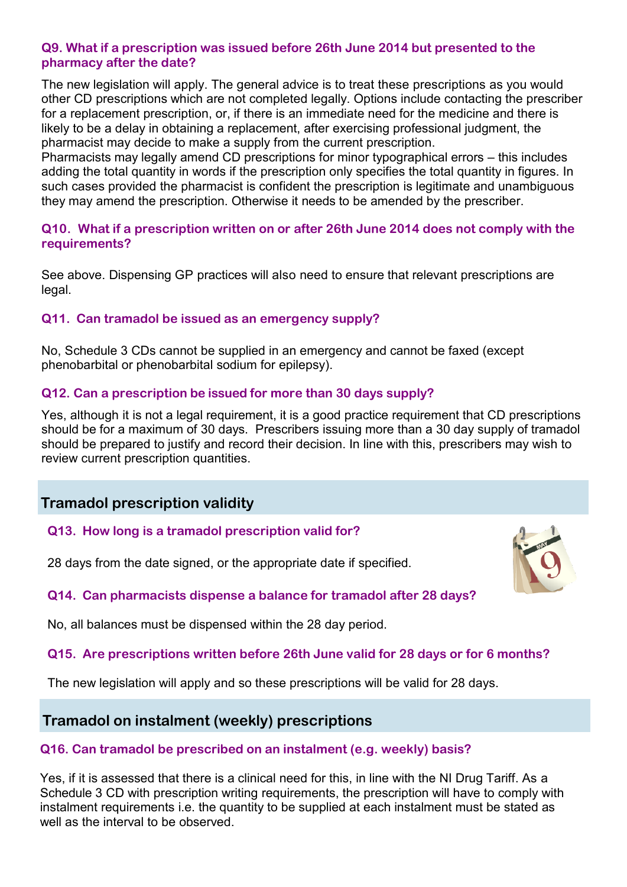#### **Q9. What if a prescription was issued before 26th June 2014 but presented to the pharmacy after the date?**

The new legislation will apply. The general advice is to treat these prescriptions as you would other CD prescriptions which are not completed legally. Options include contacting the prescriber for a replacement prescription, or, if there is an immediate need for the medicine and there is likely to be a delay in obtaining a replacement, after exercising professional judgment, the pharmacist may decide to make a supply from the current prescription.

Pharmacists may legally amend CD prescriptions for minor typographical errors – this includes adding the total quantity in words if the prescription only specifies the total quantity in figures. In such cases provided the pharmacist is confident the prescription is legitimate and unambiguous they may amend the prescription. Otherwise it needs to be amended by the prescriber.

## **Q10. What if a prescription written on or after 26th June 2014 does not comply with the requirements?**

See above. Dispensing GP practices will also need to ensure that relevant prescriptions are legal.

### **Q11. Can tramadol be issued as an emergency supply?**

No, Schedule 3 CDs cannot be supplied in an emergency and cannot be faxed (except phenobarbital or phenobarbital sodium for epilepsy).

### **Q12. Can a prescription be issued for more than 30 days supply?**

Yes, although it is not a legal requirement, it is a good practice requirement that CD prescriptions should be for a maximum of 30 days. Prescribers issuing more than a 30 day supply of tramadol should be prepared to justify and record their decision. In line with this, prescribers may wish to review current prescription quantities.

# **Tramadol prescription validity**

**Q13. How long is a tramadol prescription valid for?**

28 days from the date signed, or the appropriate date if specified.



## **Q14. Can pharmacists dispense a balance for tramadol after 28 days?**

No, all balances must be dispensed within the 28 day period.

## **Q15. Are prescriptions written before 26th June valid for 28 days or for 6 months?**

The new legislation will apply and so these prescriptions will be valid for 28 days.

## **Tramadol on instalment (weekly) prescriptions**

## **Q16. Can tramadol be prescribed on an instalment (e.g. weekly) basis?**

Yes, if it is assessed that there is a clinical need for this, in line with the NI Drug Tariff. As a Schedule 3 CD with prescription writing requirements, the prescription will have to comply with instalment requirements i.e. the quantity to be supplied at each instalment must be stated as well as the interval to be observed.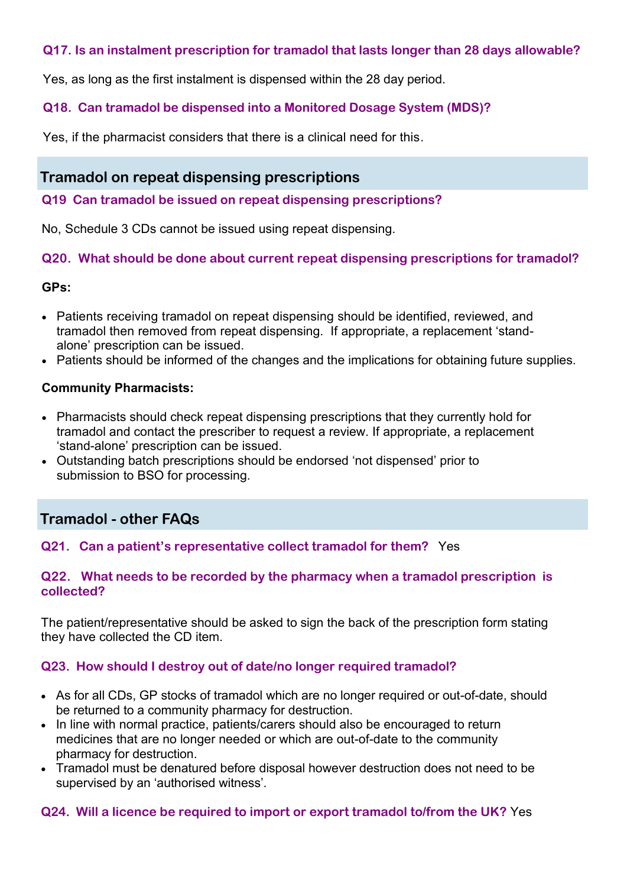## **Q17. Is an instalment prescription for tramadol that lasts longer than 28 days allowable?**

Yes, as long as the first instalment is dispensed within the 28 day period.

## **Q18. Can tramadol be dispensed into a Monitored Dosage System (MDS)?**

Yes, if the pharmacist considers that there is a clinical need for this.

## **Tramadol on repeat dispensing prescriptions**

#### **Q19 Can tramadol be issued on repeat dispensing prescriptions?**

No, Schedule 3 CDs cannot be issued using repeat dispensing.

## **Q20. What should be done about current repeat dispensing prescriptions for tramadol?**

### **GPs:**

- Patients receiving tramadol on repeat dispensing should be identified, reviewed, and tramadol then removed from repeat dispensing. If appropriate, a replacement 'standalone' prescription can be issued.
- Patients should be informed of the changes and the implications for obtaining future supplies.

### **Community Pharmacists:**

- Pharmacists should check repeat dispensing prescriptions that they currently hold for tramadol and contact the prescriber to request a review. If appropriate, a replacement 'stand-alone' prescription can be issued.
- Outstanding batch prescriptions should be endorsed 'not dispensed' prior to submission to BSO for processing.

# **Tramadol - other FAQs**

## **Q21. Can a patient's representative collect tramadol for them?** Yes

### **Q22. What needs to be recorded by the pharmacy when a tramadol prescription is collected?**

The patient/representative should be asked to sign the back of the prescription form stating they have collected the CD item.

## **Q23. How should I destroy out of date/no longer required tramadol?**

- As for all CDs, GP stocks of tramadol which are no longer required or out-of-date, should be returned to a community pharmacy for destruction.
- In line with normal practice, patients/carers should also be encouraged to return medicines that are no longer needed or which are out-of-date to the community pharmacy for destruction.
- Tramadol must be denatured before disposal however destruction does not need to be supervised by an 'authorised witness'.

#### **Q24. Will a licence be required to import or export tramadol to/from the UK?** Yes